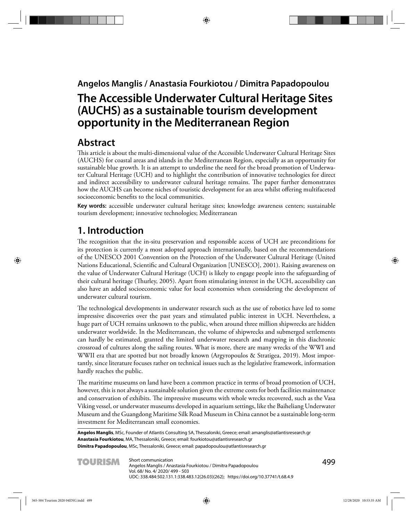**Angelos Manglis / Anastasia Fourkiotou / Dimitra Papadopoulou**

# **The Accessible Underwater Cultural Heritage Sites (AUCHS) as a sustainable tourism development opportunity in the Mediterranean Region**

## **Abstract**

This article is about the multi-dimensional value of the Accessible Underwater Cultural Heritage Sites (AUCHS) for coastal areas and islands in the Mediterranean Region, especially as an opportunity for sustainable blue growth. It is an attempt to underline the need for the broad promotion of Underwater Cultural Heritage (UCH) and to highlight the contribution of innovative technologies for direct and indirect accessibility to underwater cultural heritage remains. The paper further demonstrates how the AUCHS can become niches of touristic development for an area whilst offering multifaceted socioeconomic benefits to the local communities.

**Key words:** accessible underwater cultural heritage sites; knowledge awareness centers; sustainable tourism development; innovative technologies; Mediterranean

## **1. Introduction**

The recognition that the in-situ preservation and responsible access of UCH are preconditions for its protection is currently a most adopted approach internationally, based on the recommendations of the UNESCO 2001 Convention on the Protection of the Underwater Cultural Heritage (United Nations Educational, Scientific and Cultural Organization [UNESCO], 2001). Raising awareness on the value of Underwater Cultural Heritage (UCH) is likely to engage people into the safeguarding of their cultural heritage (Thurley, 2005). Apart from stimulating interest in the UCH, accessibility can also have an added socioeconomic value for local economies when considering the development of underwater cultural tourism.

The technological developments in underwater research such as the use of robotics have led to some impressive discoveries over the past years and stimulated public interest in UCH. Nevertheless, a huge part of UCH remains unknown to the public, when around three million shipwrecks are hidden underwater worldwide. In the Mediterranean, the volume of shipwrecks and submerged settlements can hardly be estimated, granted the limited underwater research and mapping in this diachronic crossroad of cultures along the sailing routes. What is more, there are many wrecks of the WWI and WWII era that are spotted but not broadly known (Argyropoulos & Stratigea, 2019). Most importantly, since literature focuses rather on technical issues such as the legislative framework, information hardly reaches the public.

The maritime museums on land have been a common practice in terms of broad promotion of UCH, however, this is not always a sustainable solution given the extreme costs for both facilities maintenance and conservation of exhibits. The impressive museums with whole wrecks recovered, such as the Vasa Viking vessel, or underwater museums developed in aquarium settings, like the Baiheliang Underwater Museum and the Guangdong Maritime Silk Road Museum in China cannot be a sustainable long-term investment for Mediterranean small economies.

**Angelos Manglis**, MSc, Founder of Atlantis Consulting SA, Thessaloniki, Greece; email: amanglis@atlantisresearch.gr **Anastasia Fourkiotou**, MA, Thessaloniki, Greece; email: fourkiotou@atlantisresearch.gr **Dimitra Papadopoulou**, MSc, Thessaloniki, Greece; email: papadopoulou@atlantisresearch.gr

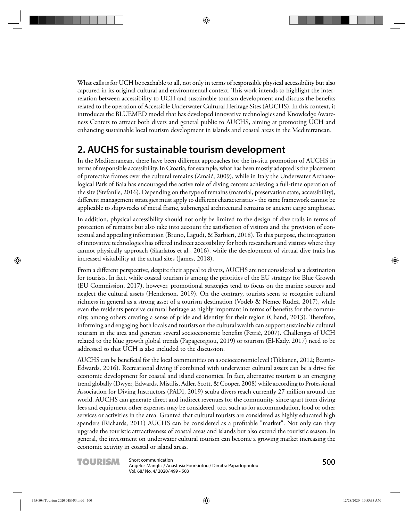What calls is for UCH be reachable to all, not only in terms of responsible physical accessibility but also captured in its original cultural and environmental context. This work intends to highlight the interrelation between accessibility to UCH and sustainable tourism development and discuss the benefits related to the operation of Accessible Underwater Cultural Heritage Sites (AUCHS). In this context, it introduces the BLUEMED model that has developed innovative technologies and Knowledge Awareness Centers to attract both divers and general public to AUCHS, aiming at promoting UCH and enhancing sustainable local tourism development in islands and coastal areas in the Mediterranean.

### **2. AUCHS for sustainable tourism development**

In the Mediterranean, there have been different approaches for the in-situ promotion of AUCHS in terms of responsible accessibility. In Croatia, for example, what has been mostly adopted is the placement of protective frames over the cultural remains (Zmaić, 2009), while in Italy the Underwater Archaeological Park of Baia has encouraged the active role of diving centers achieving a full-time operation of the site (Stefanile, 2016). Depending on the type of remains (material, preservation state, accessibility), different management strategies must apply to different characteristics - the same framework cannot be applicable to shipwrecks of metal frame, submerged architectural remains or ancient cargo amphorae.

In addition, physical accessibility should not only be limited to the design of dive trails in terms of protection of remains but also take into account the satisfaction of visitors and the provision of contextual and appealing information (Bruno, Lagudi, & Barbieri, 2018). To this purpose, the integration of innovative technologies has offered indirect accessibility for both researchers and visitors where they cannot physically approach (Skarlatos et al., 2016), while the development of virtual dive trails has increased visitability at the actual sites (James, 2018).

From a different perspective, despite their appeal to divers, AUCHS are not considered as a destination for tourists. In fact, while coastal tourism is among the priorities of the EU strategy for Blue Growth (EU Commission, 2017), however, promotional strategies tend to focus on the marine sources and neglect the cultural assets (Henderson, 2019). On the contrary, tourists seem to recognise cultural richness in general as a strong asset of a tourism destination ( Vodeb & Nemec Rudež, 2017), while even the residents perceive cultural heritage as highly important in terms of benefits for the community, among others creating a sense of pride and identity for their region (Chand, 2013). Therefore, informing and engaging both locals and tourists on the cultural wealth can support sustainable cultural tourism in the area and generate several socioeconomic benefits (Petrić, 2007). Challenges of UCH related to the blue growth global trends (Papageorgiou, 2019) or tourism (El-Kady, 2017) need to be addressed so that UCH is also included to the discussion.

AUCHS can be beneficial for the local communities on a socioeconomic level (Tikkanen, 2012; Beattie-Edwards, 2016). Recreational diving if combined with underwater cultural assets can be a drive for economic development for coastal and island economies. In fact, alternative tourism is an emerging trend globally (Dwyer, Edwards, Mistilis, Adler, Scott, & Cooper, 2008) while according to Professional Association for Diving Instructors (PADI, 2019) scuba divers reach currently 27 million around the world. AUCHS can generate direct and indirect revenues for the community, since apart from diving fees and equipment other expenses may be considered, too, such as for accommodation, food or other services or activities in the area. Granted that cultural tourists are considered as highly educated high spenders (Richards, 2011) AUCHS can be considered as a profitable "market". Not only can they upgrade the touristic attractiveness of coastal areas and islands but also extend the touristic season. In general, the investment on underwater cultural tourism can become a growing market increasing the economic activity in coastal or island areas.

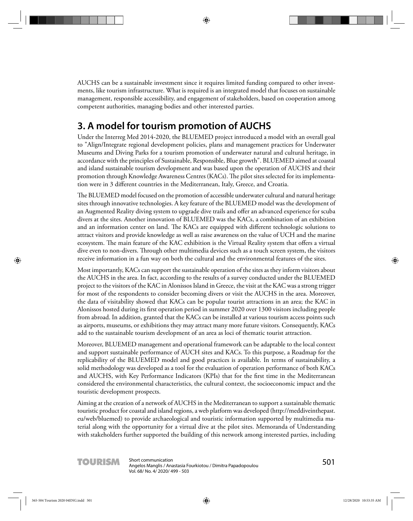AUCHS can be a sustainable investment since it requires limited funding compared to other investments, like tourism infrastructure. What is required is an integrated model that focuses on sustainable management, responsible accessibility, and engagement of stakeholders, based on cooperation among competent authorities, managing bodies and other interested parties.

# **3. A model for tourism promotion of AUCHS**

Under the Interreg Med 2014-2020, the BLUEMED project introduced a model with an overall goal to "Align/Integrate regional development policies, plans and management practices for Underwater Museums and Diving Parks for a tourism promotion of underwater natural and cultural heritage, in accordance with the principles of Sustainable, Responsible, Blue growth". BLUEMED aimed at coastal and island sustainable tourism development and was based upon the operation of AUCHS and their promotion through Knowledge Awareness Centres (KACs). The pilot sites selected for its implementation were in 3 different countries in the Mediterranean, Italy, Greece, and Croatia.

The BLUEMED model focused on the promotion of accessible underwater cultural and natural heritage sites through innovative technologies. A key feature of the BLUEMED model was the development of an Augmented Reality diving system to upgrade dive trails and offer an advanced experience for scuba divers at the sites. Another innovation of BLUEMED was the KACs, a combination of an exhibition and an information center on land. The KACs are equipped with different technologic solutions to attract visitors and provide knowledge as well as raise awareness on the value of UCH and the marine ecosystem. The main feature of the KAC exhibition is the Virtual Reality system that offers a virtual dive even to non-divers. Through other multimedia devices such as a touch screen system, the visitors receive information in a fun way on both the cultural and the environmental features of the sites.

Most importantly, KACs can support the sustainable operation of the sites as they inform visitors about the AUCHS in the area. In fact, according to the results of a survey conducted under the BLUEMED project to the visitors of the KAC in Alonissos Island in Greece, the visit at the KAC was a strong trigger for most of the respondents to consider becoming divers or visit the AUCHS in the area. Moreover, the data of visitability showed that KACs can be popular tourist attractions in an area; the KAC in Alonissos hosted during its first operation period in summer 2020 over 1300 visitors including people from abroad. In addition, granted that the KACs can be installed at various tourism access points such as airports, museums, or exhibitions they may attract many more future visitors. Consequently, KACs add to the sustainable tourism development of an area as loci of thematic tourist attraction.

Moreover, BLUEMED management and operational framework can be adaptable to the local context and support sustainable performance of AUCH sites and KACs. To this purpose, a Roadmap for the replicability of the BLUEMED model and good practices is available. In terms of sustainability, a solid methodology was developed as a tool for the evaluation of operation performance of both KACs and AUCHS, with Key Performance Indicators (KPIs) that for the first time in the Mediterranean considered the environmental characteristics, the cultural context, the socioeconomic impact and the touristic development prospects.

Aiming at the creation of a network of AUCHS in the Mediterranean to support a sustainable thematic touristic product for coastal and island regions, a web platform was developed (http://meddiveinthepast. eu/web/bluemed) to provide archaeological and touristic information supported by multimedia material along with the opportunity for a virtual dive at the pilot sites. Memoranda of Understanding with stakeholders further supported the building of this network among interested parties, including

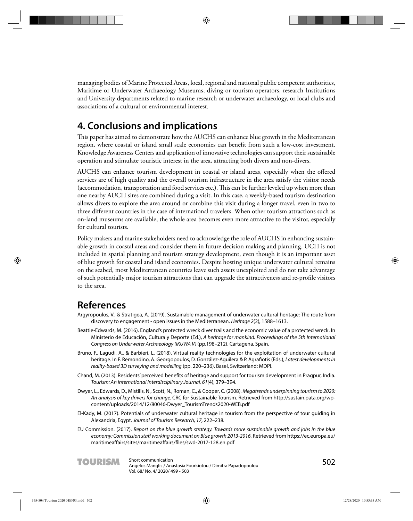managing bodies of Marine Protected Areas, local, regional and national public competent authorities, Maritime or Underwater Archaeology Museums, diving or tourism operators, research Institutions and University departments related to marine research or underwater archaeology, or local clubs and associations of a cultural or environmental interest.

### **4. Conclusions and implications**

This paper has aimed to demonstrate how the AUCHS can enhance blue growth in the Mediterranean region, where coastal or island small scale economies can benefi t from such a low-cost investment. Knowledge Awareness Centers and application of innovative technologies can support their sustainable operation and stimulate touristic interest in the area, attracting both divers and non-divers.

AUCHS can enhance tourism development in coastal or island areas, especially when the offered services are of high quality and the overall tourism infrastructure in the area satisfy the visitor needs (accommodation, transportation and food services etc.). This can be further leveled up when more than one nearby AUCH sites are combined during a visit. In this case, a weekly-based tourism destination allows divers to explore the area around or combine this visit during a longer travel, even in two to three different countries in the case of international travelers. When other tourism attractions such as on-land museums are available, the whole area becomes even more attractive to the visitor, especially for cultural tourists.

Policy makers and marine stakeholders need to acknowledge the role of AUCHS in enhancing sustainable growth in coastal areas and consider them in future decision making and planning. UCH is not included in spatial planning and tourism strategy development, even though it is an important asset of blue growth for coastal and island economies. Despite hosting unique underwater cultural remains on the seabed, most Mediterranean countries leave such assets unexploited and do not take advantage of such potentially major tourism attractions that can upgrade the attractiveness and re-profile visitors to the area.

#### **References**

- Argyropoulos, V., & Stratigea, A. (2019). Sustainable management of underwater cultural heritage: The route from discovery to engagement - open issues in the Mediterranean. Heritage 2(2), 1588–1613.
- Beattie-Edwards, M. (2016). England's protected wreck diver trails and the economic value of a protected wreck. In Ministerio de Educación, Cultura y Deporte (Ed.), A heritage for mankind. Proceedings of the 5th International Congress on Underwater Archaeology (IKUWA V) (pp.198–212). Cartagena, Spain.
- Bruno, F., Lagudi, A., & Barbieri, L. (2018). Virtual reality technologies for the exploitation of underwater cultural heritage. In F. Remondino, A. Georgopoulos, D. González-Aguilera & P. Agrafiotis (Eds.), Latest developments in reality-based 3D surveying and modelling (pp. 220–236). Basel, Switzerland: MDPI.
- Chand, M. (2013). Residents' perceived benefits of heritage and support for tourism development in Pragpur, India. Tourism: An International Interdisciplinary Journal, 61(4), 379–394.
- Dwyer, L., Edwards, D., Mistilis, N., Scott, N., Roman, C., & Cooper, C. (2008). Megatrends underpinning tourism to 2020: An analysis of key drivers for change. CRC for Sustainable Tourism. Retrieved from http://sustain.pata.org/wpcontent/uploads/2014/12/80046-Dwyer\_TourismTrends2020-WEB.pdf
- El‐Kady, M. (2017). Potentials of underwater cultural heritage in tourism from the perspective of tour guiding in Alexandria, Egypt. Journal of Tourism Research, 17, 222–238.
- EU Commission. (2017). Report on the blue growth strategy. Towards more sustainable growth and jobs in the blue economy: Commission staff working document on Blue growth 2013-2016. Retrieved from https://ec.europa.eu/ maritimeaffairs/sites/maritimeaffairs/files/swd-2017-128.en.pdf